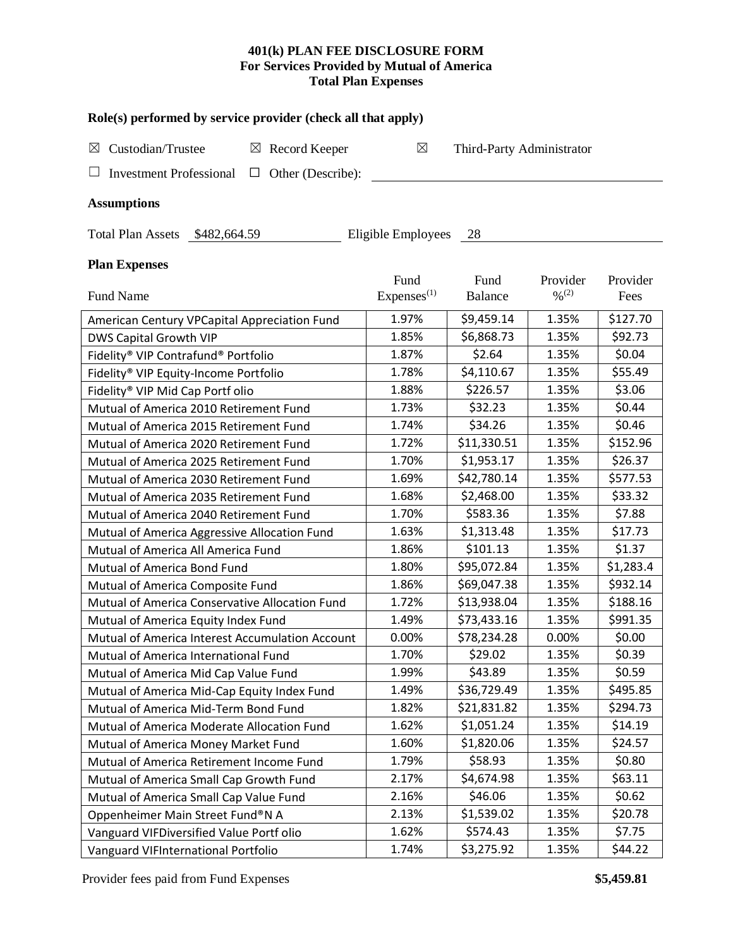## **401(k) PLAN FEE DISCLOSURE FORM For Services Provided by Mutual of America Total Plan Expenses**

| Role(s) performed by service provider (check all that apply)  |                         |                           |                              |           |  |  |  |  |  |
|---------------------------------------------------------------|-------------------------|---------------------------|------------------------------|-----------|--|--|--|--|--|
| Custodian/Trustee<br>$\boxtimes$ Record Keeper<br>⊠           | $\boxtimes$             | Third-Party Administrator |                              |           |  |  |  |  |  |
| <b>Investment Professional</b><br>Other (Describe):<br>$\Box$ |                         |                           |                              |           |  |  |  |  |  |
| <b>Assumptions</b>                                            |                         |                           |                              |           |  |  |  |  |  |
|                                                               |                         |                           |                              |           |  |  |  |  |  |
| Eligible Employees<br>Total Plan Assets \$482,664.59<br>- 28  |                         |                           |                              |           |  |  |  |  |  |
| <b>Plan Expenses</b>                                          |                         |                           |                              |           |  |  |  |  |  |
|                                                               | Fund                    | Fund                      | Provider                     | Provider  |  |  |  |  |  |
| Fund Name                                                     | Expenses <sup>(1)</sup> | <b>Balance</b>            | $\frac{0}{2}$ <sup>(2)</sup> | Fees      |  |  |  |  |  |
| American Century VPCapital Appreciation Fund                  | 1.97%                   | \$9,459.14                | 1.35%                        | \$127.70  |  |  |  |  |  |
| DWS Capital Growth VIP                                        | 1.85%                   | \$6,868.73                | 1.35%                        | \$92.73   |  |  |  |  |  |
| Fidelity® VIP Contrafund® Portfolio                           | 1.87%                   | \$2.64                    | 1.35%                        | \$0.04    |  |  |  |  |  |
| Fidelity® VIP Equity-Income Portfolio                         | 1.78%                   | \$4,110.67                | 1.35%                        | \$55.49   |  |  |  |  |  |
| Fidelity® VIP Mid Cap Portf olio                              | 1.88%                   | \$226.57                  | 1.35%                        | \$3.06    |  |  |  |  |  |
| Mutual of America 2010 Retirement Fund                        | 1.73%                   | \$32.23                   | 1.35%                        | \$0.44    |  |  |  |  |  |
| Mutual of America 2015 Retirement Fund                        | 1.74%                   | \$34.26                   | 1.35%                        | \$0.46    |  |  |  |  |  |
| Mutual of America 2020 Retirement Fund                        | 1.72%                   | \$11,330.51               | 1.35%                        | \$152.96  |  |  |  |  |  |
| Mutual of America 2025 Retirement Fund                        | 1.70%                   | \$1,953.17                | 1.35%                        | \$26.37   |  |  |  |  |  |
| Mutual of America 2030 Retirement Fund                        | 1.69%                   | \$42,780.14               | 1.35%                        | \$577.53  |  |  |  |  |  |
| Mutual of America 2035 Retirement Fund                        | 1.68%                   | \$2,468.00                | 1.35%                        | \$33.32   |  |  |  |  |  |
| Mutual of America 2040 Retirement Fund                        | 1.70%                   | \$583.36                  | 1.35%                        | \$7.88    |  |  |  |  |  |
| Mutual of America Aggressive Allocation Fund                  | 1.63%                   | \$1,313.48                | 1.35%                        | \$17.73   |  |  |  |  |  |
| Mutual of America All America Fund                            | 1.86%                   | \$101.13                  | 1.35%                        | \$1.37    |  |  |  |  |  |
| Mutual of America Bond Fund                                   | 1.80%                   | \$95,072.84               | 1.35%                        | \$1,283.4 |  |  |  |  |  |
| Mutual of America Composite Fund                              | 1.86%                   | \$69,047.38               | 1.35%                        | \$932.14  |  |  |  |  |  |
| Mutual of America Conservative Allocation Fund                | 1.72%                   | \$13,938.04               | 1.35%                        | \$188.16  |  |  |  |  |  |
| Mutual of America Equity Index Fund                           | 1.49%                   | \$73,433.16               | 1.35%                        | \$991.35  |  |  |  |  |  |
| Mutual of America Interest Accumulation Account               | 0.00%                   | \$78,234.28               | 0.00%                        | \$0.00    |  |  |  |  |  |
| Mutual of America International Fund                          | 1.70%                   | \$29.02                   | 1.35%                        | \$0.39    |  |  |  |  |  |
| Mutual of America Mid Cap Value Fund                          | 1.99%                   | \$43.89                   | 1.35%                        | \$0.59    |  |  |  |  |  |
| Mutual of America Mid-Cap Equity Index Fund                   | 1.49%                   | \$36,729.49               | 1.35%                        | \$495.85  |  |  |  |  |  |
| Mutual of America Mid-Term Bond Fund                          | 1.82%                   | \$21,831.82               | 1.35%                        | \$294.73  |  |  |  |  |  |
| Mutual of America Moderate Allocation Fund                    | 1.62%                   | \$1,051.24                | 1.35%                        | \$14.19   |  |  |  |  |  |
| Mutual of America Money Market Fund                           | 1.60%                   | \$1,820.06                | 1.35%                        | \$24.57   |  |  |  |  |  |
| Mutual of America Retirement Income Fund                      | 1.79%                   | \$58.93                   | 1.35%                        | \$0.80    |  |  |  |  |  |
| Mutual of America Small Cap Growth Fund                       | 2.17%                   | \$4,674.98                | 1.35%                        | \$63.11   |  |  |  |  |  |
| Mutual of America Small Cap Value Fund                        | 2.16%                   | \$46.06                   | 1.35%                        | \$0.62    |  |  |  |  |  |
| Oppenheimer Main Street Fund®N A                              | 2.13%                   | \$1,539.02                | 1.35%                        | \$20.78   |  |  |  |  |  |
| Vanguard VIFDiversified Value Portf olio                      | 1.62%                   | \$574.43                  | 1.35%                        | \$7.75    |  |  |  |  |  |
| Vanguard VIFInternational Portfolio                           | 1.74%                   | \$3,275.92                | 1.35%                        | \$44.22   |  |  |  |  |  |

Provider fees paid from Fund Expenses **\$5,459.81**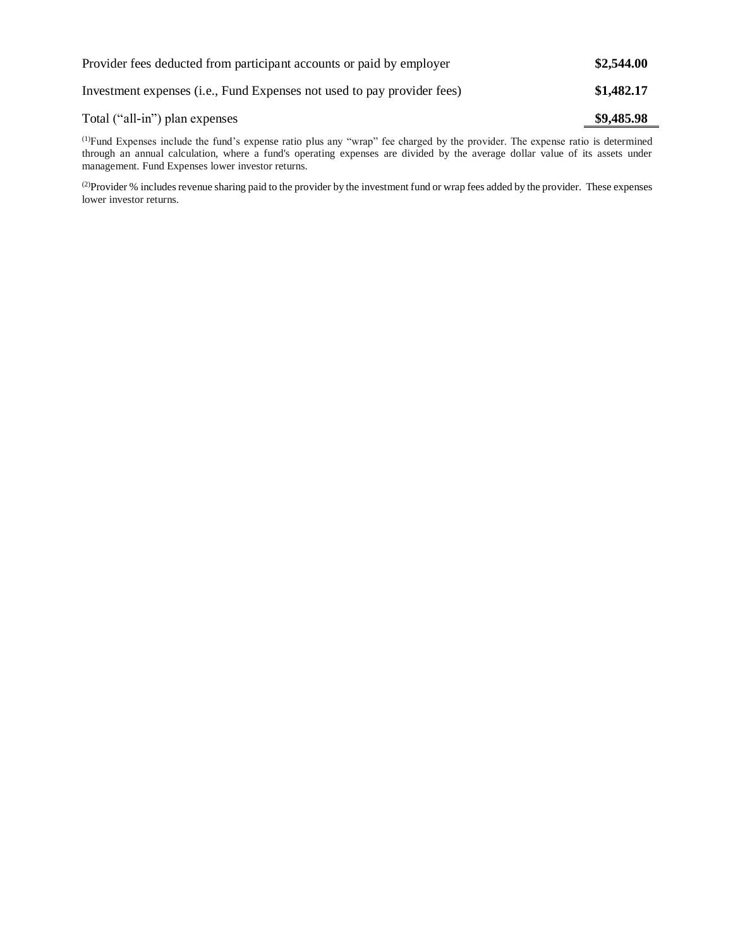| Provider fees deducted from participant accounts or paid by employer    | \$2,544.00 |
|-------------------------------------------------------------------------|------------|
| Investment expenses (i.e., Fund Expenses not used to pay provider fees) | \$1,482.17 |
| Total ("all-in") plan expenses                                          | \$9,485.98 |

(1)Fund Expenses include the fund's expense ratio plus any "wrap" fee charged by the provider. The expense ratio is determined through an annual calculation, where a fund's operating expenses are divided by the average dollar value of its assets under management. Fund Expenses lower investor returns.

(2) Provider % includes revenue sharing paid to the provider by the investment fund or wrap fees added by the provider. These expenses lower investor returns.